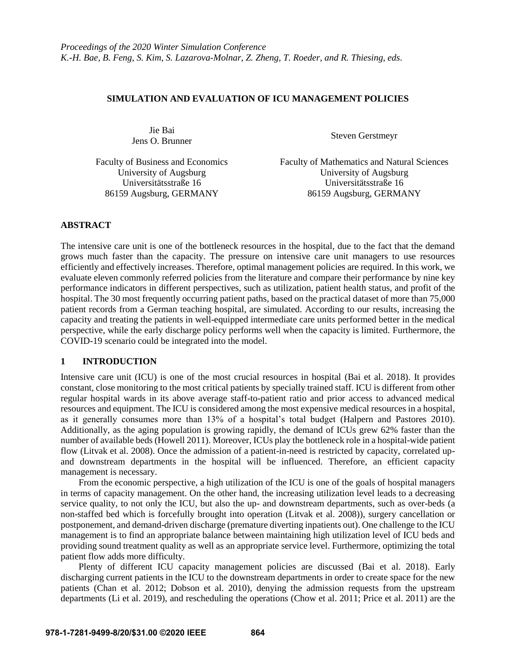### **SIMULATION AND EVALUATION OF ICU MANAGEMENT POLICIES**

Jie Bai Jens O. Brunner<br>
Steven Gerstmeyr

Universitätsstraße 16 86159 Augsburg, GERMANY

Faculty of Business and Economics Faculty of Mathematics and Natural Sciences University of Augsburg University of Augsburg University of Augsburg Universitätsstraße 16 86159 Augsburg, GERMANY

## **ABSTRACT**

The intensive care unit is one of the bottleneck resources in the hospital, due to the fact that the demand grows much faster than the capacity. The pressure on intensive care unit managers to use resources efficiently and effectively increases. Therefore, optimal management policies are required. In this work, we evaluate eleven commonly referred policies from the literature and compare their performance by nine key performance indicators in different perspectives, such as utilization, patient health status, and profit of the hospital. The 30 most frequently occurring patient paths, based on the practical dataset of more than 75,000 patient records from a German teaching hospital, are simulated. According to our results, increasing the capacity and treating the patients in well-equipped intermediate care units performed better in the medical perspective, while the early discharge policy performs well when the capacity is limited. Furthermore, the COVID-19 scenario could be integrated into the model.

## **1 INTRODUCTION**

Intensive care unit (ICU) is one of the most crucial resources in hospital (Bai et al. 2018). It provides constant, close monitoring to the most critical patients by specially trained staff. ICU is different from other regular hospital wards in its above average staff-to-patient ratio and prior access to advanced medical resources and equipment. The ICU is considered among the most expensive medical resources in a hospital, as it generally consumes more than 13% of a hospital's total budget (Halpern and Pastores 2010). Additionally, as the aging population is growing rapidly, the demand of ICUs grew 62% faster than the number of available beds (Howell 2011). Moreover, ICUs play the bottleneck role in a hospital-wide patient flow (Litvak et al. 2008). Once the admission of a patient-in-need is restricted by capacity, correlated upand downstream departments in the hospital will be influenced. Therefore, an efficient capacity management is necessary.

From the economic perspective, a high utilization of the ICU is one of the goals of hospital managers in terms of capacity management. On the other hand, the increasing utilization level leads to a decreasing service quality, to not only the ICU, but also the up- and downstream departments, such as over-beds (a non-staffed bed which is forcefully brought into operation (Litvak et al. 2008)), surgery cancellation or postponement, and demand-driven discharge (premature diverting inpatients out). One challenge to the ICU management is to find an appropriate balance between maintaining high utilization level of ICU beds and providing sound treatment quality as well as an appropriate service level. Furthermore, optimizing the total patient flow adds more difficulty.

Plenty of different ICU capacity management policies are discussed (Bai et al. 2018). Early discharging current patients in the ICU to the downstream departments in order to create space for the new patients (Chan et al. 2012; Dobson et al. 2010), denying the admission requests from the upstream departments (Li et al. 2019), and rescheduling the operations (Chow et al. 2011; Price et al. 2011) are the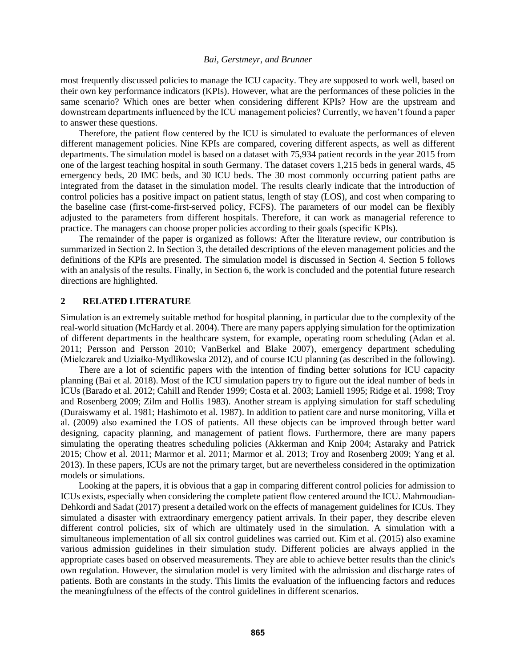most frequently discussed policies to manage the ICU capacity. They are supposed to work well, based on their own key performance indicators (KPIs). However, what are the performances of these policies in the same scenario? Which ones are better when considering different KPIs? How are the upstream and downstream departments influenced by the ICU management policies? Currently, we haven't found a paper to answer these questions.

Therefore, the patient flow centered by the ICU is simulated to evaluate the performances of eleven different management policies. Nine KPIs are compared, covering different aspects, as well as different departments. The simulation model is based on a dataset with 75,934 patient records in the year 2015 from one of the largest teaching hospital in south Germany. The dataset covers 1,215 beds in general wards, 45 emergency beds, 20 IMC beds, and 30 ICU beds. The 30 most commonly occurring patient paths are integrated from the dataset in the simulation model. The results clearly indicate that the introduction of control policies has a positive impact on patient status, length of stay (LOS), and cost when comparing to the baseline case (first-come-first-served policy, FCFS). The parameters of our model can be flexibly adjusted to the parameters from different hospitals. Therefore, it can work as managerial reference to practice. The managers can choose proper policies according to their goals (specific KPIs).

The remainder of the paper is organized as follows: After the literature review, our contribution is summarized in Section 2. In Section 3, the detailed descriptions of the eleven management policies and the definitions of the KPIs are presented. The simulation model is discussed in Section 4. Section 5 follows with an analysis of the results. Finally, in Section 6, the work is concluded and the potential future research directions are highlighted.

## **2 RELATED LITERATURE**

Simulation is an extremely suitable method for hospital planning, in particular due to the complexity of the real-world situation (McHardy et al. 2004). There are many papers applying simulation for the optimization of different departments in the healthcare system, for example, operating room scheduling (Adan et al. 2011; Persson and Persson 2010; VanBerkel and Blake 2007), emergency department scheduling (Mielczarek and Uziałko-Mydlikowska 2012), and of course ICU planning (as described in the following).

There are a lot of scientific papers with the intention of finding better solutions for ICU capacity planning (Bai et al. 2018). Most of the ICU simulation papers try to figure out the ideal number of beds in ICUs (Barado et al. 2012; Cahill and Render 1999; Costa et al. 2003; Lamiell 1995; Ridge et al. 1998; Troy and Rosenberg 2009; Zilm and Hollis 1983). Another stream is applying simulation for staff scheduling (Duraiswamy et al. 1981; Hashimoto et al. 1987). In addition to patient care and nurse monitoring, Villa et al. (2009) also examined the LOS of patients. All these objects can be improved through better ward designing, capacity planning, and management of patient flows. Furthermore, there are many papers simulating the operating theatres scheduling policies (Akkerman and Knip 2004; Astaraky and Patrick 2015; Chow et al. 2011; Marmor et al. 2011; Marmor et al. 2013; Troy and Rosenberg 2009; Yang et al. 2013). In these papers, ICUs are not the primary target, but are nevertheless considered in the optimization models or simulations.

Looking at the papers, it is obvious that a gap in comparing different control policies for admission to ICUs exists, especially when considering the complete patient flow centered around the ICU. Mahmoudian-Dehkordi and Sadat (2017) present a detailed work on the effects of management guidelines for ICUs. They simulated a disaster with extraordinary emergency patient arrivals. In their paper, they describe eleven different control policies, six of which are ultimately used in the simulation. A simulation with a simultaneous implementation of all six control guidelines was carried out. Kim et al. (2015) also examine various admission guidelines in their simulation study. Different policies are always applied in the appropriate cases based on observed measurements. They are able to achieve better results than the clinic's own regulation. However, the simulation model is very limited with the admission and discharge rates of patients. Both are constants in the study. This limits the evaluation of the influencing factors and reduces the meaningfulness of the effects of the control guidelines in different scenarios.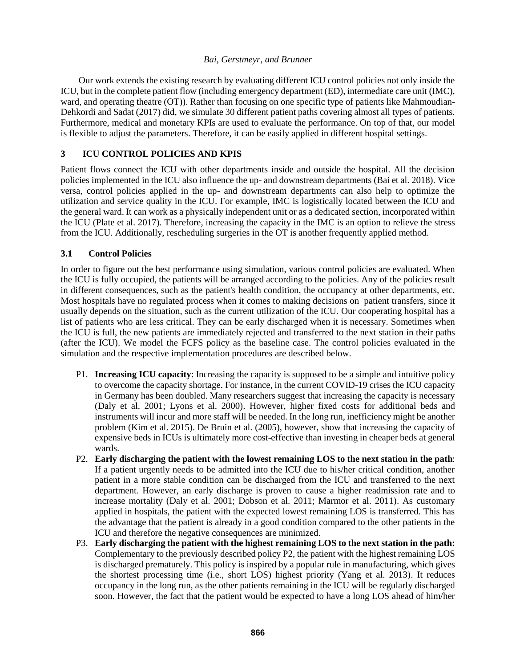Our work extends the existing research by evaluating different ICU control policies not only inside the ICU, but in the complete patient flow (including emergency department (ED), intermediate care unit (IMC), ward, and operating theatre (OT)). Rather than focusing on one specific type of patients like Mahmoudian-Dehkordi and Sadat (2017) did, we simulate 30 different patient paths covering almost all types of patients. Furthermore, medical and monetary KPIs are used to evaluate the performance. On top of that, our model is flexible to adjust the parameters. Therefore, it can be easily applied in different hospital settings.

# **3 ICU CONTROL POLICIES AND KPIS**

Patient flows connect the ICU with other departments inside and outside the hospital. All the decision policies implemented in the ICU also influence the up- and downstream departments (Bai et al. 2018). Vice versa, control policies applied in the up- and downstream departments can also help to optimize the utilization and service quality in the ICU. For example, IMC is logistically located between the ICU and the general ward. It can work as a physically independent unit or as a dedicated section, incorporated within the ICU (Plate et al. 2017). Therefore, increasing the capacity in the IMC is an option to relieve the stress from the ICU. Additionally, rescheduling surgeries in the OT is another frequently applied method.

## **3.1 Control Policies**

In order to figure out the best performance using simulation, various control policies are evaluated. When the ICU is fully occupied, the patients will be arranged according to the policies. Any of the policies result in different consequences, such as the patient's health condition, the occupancy at other departments, etc. Most hospitals have no regulated process when it comes to making decisions on patient transfers, since it usually depends on the situation, such as the current utilization of the ICU. Our cooperating hospital has a list of patients who are less critical. They can be early discharged when it is necessary. Sometimes when the ICU is full, the new patients are immediately rejected and transferred to the next station in their paths (after the ICU). We model the FCFS policy as the baseline case. The control policies evaluated in the simulation and the respective implementation procedures are described below.

- P1. **Increasing ICU capacity**: Increasing the capacity is supposed to be a simple and intuitive policy to overcome the capacity shortage. For instance, in the current COVID-19 crises the ICU capacity in Germany has been doubled. Many researchers suggest that increasing the capacity is necessary (Daly et al. 2001; Lyons et al. 2000). However, higher fixed costs for additional beds and instruments will incur and more staff will be needed. In the long run, inefficiency might be another problem (Kim et al. 2015). De Bruin et al. (2005), however, show that increasing the capacity of expensive beds in ICUs is ultimately more cost-effective than investing in cheaper beds at general wards.
- P2. **Early discharging the patient with the lowest remaining LOS to the next station in the path**: If a patient urgently needs to be admitted into the ICU due to his/her critical condition, another patient in a more stable condition can be discharged from the ICU and transferred to the next department. However, an early discharge is proven to cause a higher readmission rate and to increase mortality (Daly et al. 2001; Dobson et al. 2011; Marmor et al. 2011). As customary applied in hospitals, the patient with the expected lowest remaining LOS is transferred. This has the advantage that the patient is already in a good condition compared to the other patients in the ICU and therefore the negative consequences are minimized.
- P3. **Early discharging the patient with the highest remaining LOS to the next station in the path:** Complementary to the previously described policy P2, the patient with the highest remaining LOS is discharged prematurely. This policy is inspired by a popular rule in manufacturing, which gives the shortest processing time (i.e., short LOS) highest priority (Yang et al. 2013). It reduces occupancy in the long run, as the other patients remaining in the ICU will be regularly discharged soon. However, the fact that the patient would be expected to have a long LOS ahead of him/her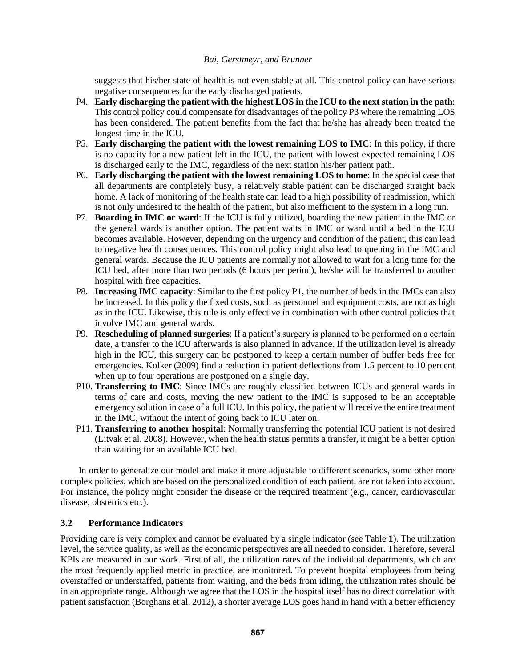suggests that his/her state of health is not even stable at all. This control policy can have serious negative consequences for the early discharged patients.

- P4. **Early discharging the patient with the highest LOS in the ICU to the next station in the path**: This control policy could compensate for disadvantages of the policy P3 where the remaining LOS has been considered. The patient benefits from the fact that he/she has already been treated the longest time in the ICU.
- P5. **Early discharging the patient with the lowest remaining LOS to IMC**: In this policy, if there is no capacity for a new patient left in the ICU, the patient with lowest expected remaining LOS is discharged early to the IMC, regardless of the next station his/her patient path.
- P6. **Early discharging the patient with the lowest remaining LOS to home**: In the special case that all departments are completely busy, a relatively stable patient can be discharged straight back home. A lack of monitoring of the health state can lead to a high possibility of readmission, which is not only undesired to the health of the patient, but also inefficient to the system in a long run.
- P7. **Boarding in IMC or ward**: If the ICU is fully utilized, boarding the new patient in the IMC or the general wards is another option. The patient waits in IMC or ward until a bed in the ICU becomes available. However, depending on the urgency and condition of the patient, this can lead to negative health consequences. This control policy might also lead to queuing in the IMC and general wards. Because the ICU patients are normally not allowed to wait for a long time for the ICU bed, after more than two periods (6 hours per period), he/she will be transferred to another hospital with free capacities.
- P8. **Increasing IMC capacity**: Similar to the first policy P1, the number of beds in the IMCs can also be increased. In this policy the fixed costs, such as personnel and equipment costs, are not as high as in the ICU. Likewise, this rule is only effective in combination with other control policies that involve IMC and general wards.
- P9. **Rescheduling of planned surgeries**: If a patient's surgery is planned to be performed on a certain date, a transfer to the ICU afterwards is also planned in advance. If the utilization level is already high in the ICU, this surgery can be postponed to keep a certain number of buffer beds free for emergencies. Kolker (2009) find a reduction in patient deflections from 1.5 percent to 10 percent when up to four operations are postponed on a single day.
- P10. **Transferring to IMC**: Since IMCs are roughly classified between ICUs and general wards in terms of care and costs, moving the new patient to the IMC is supposed to be an acceptable emergency solution in case of a full ICU. In this policy, the patient will receive the entire treatment in the IMC, without the intent of going back to ICU later on.
- P11. **Transferring to another hospital**: Normally transferring the potential ICU patient is not desired (Litvak et al. 2008). However, when the health status permits a transfer, it might be a better option than waiting for an available ICU bed.

In order to generalize our model and make it more adjustable to different scenarios, some other more complex policies, which are based on the personalized condition of each patient, are not taken into account. For instance, the policy might consider the disease or the required treatment (e.g., cancer, cardiovascular disease, obstetrics etc.).

## **3.2 Performance Indicators**

Providing care is very complex and cannot be evaluated by a single indicator (see [Table](#page-4-0) **1**). The utilization level, the service quality, as well as the economic perspectives are all needed to consider. Therefore, several KPIs are measured in our work. First of all, the utilization rates of the individual departments, which are the most frequently applied metric in practice, are monitored. To prevent hospital employees from being overstaffed or understaffed, patients from waiting, and the beds from idling, the utilization rates should be in an appropriate range. Although we agree that the LOS in the hospital itself has no direct correlation with patient satisfaction (Borghans et al. 2012), a shorter average LOS goes hand in hand with a better efficiency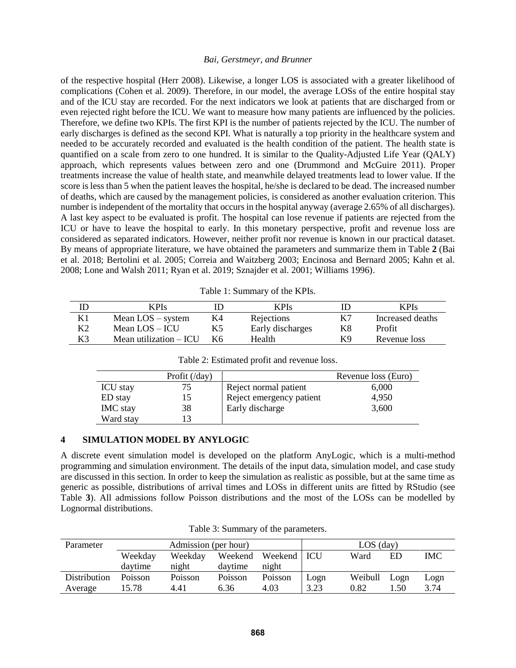of the respective hospital (Herr 2008). Likewise, a longer LOS is associated with a greater likelihood of complications (Cohen et al. 2009). Therefore, in our model, the average LOSs of the entire hospital stay and of the ICU stay are recorded. For the next indicators we look at patients that are discharged from or even rejected right before the ICU. We want to measure how many patients are influenced by the policies. Therefore, we define two KPIs. The first KPI is the number of patients rejected by the ICU. The number of early discharges is defined as the second KPI. What is naturally a top priority in the healthcare system and needed to be accurately recorded and evaluated is the health condition of the patient. The health state is quantified on a scale from zero to one hundred. It is similar to the Quality-Adjusted Life Year (QALY) approach, which represents values between zero and one (Drummond and McGuire 2011). Proper treatments increase the value of health state, and meanwhile delayed treatments lead to lower value. If the score is less than 5 when the patient leaves the hospital, he/she is declared to be dead. The increased number of deaths, which are caused by the management policies, is considered as another evaluation criterion. This number is independent of the mortality that occurs in the hospital anyway (average 2.65% of all discharges). A last key aspect to be evaluated is profit. The hospital can lose revenue if patients are rejected from the ICU or have to leave the hospital to early. In this monetary perspective, profit and revenue loss are considered as separated indicators. However, neither profit nor revenue is known in our practical dataset. By means of appropriate literature, we have obtained the parameters and summarize them in [Table](#page-4-1) **2** (Bai et al. 2018; Bertolini et al. 2005; Correia and Waitzberg 2003; Encinosa and Bernard 2005; Kahn et al. 2008; Lone and Walsh 2011; Ryan et al. 2019; Sznajder et al. 2001; Williams 1996).

|  | Table 1: Summary of the KPIs. |  |  |
|--|-------------------------------|--|--|
|--|-------------------------------|--|--|

<span id="page-4-0"></span>

|    | <b>KPIs</b>             |      | <b>KPIs</b>      |    | <b>KPIs</b>      |
|----|-------------------------|------|------------------|----|------------------|
| K1 | Mean $LOS$ – system     | K4   | Rejections       | K7 | Increased deaths |
| K2 | Mean $LOS - ICU$        |      | Early discharges | K8 | Profit           |
| K3 | Mean utilization $-ICU$ | - K6 | Health           | K9 | Revenue loss     |

<span id="page-4-1"></span>

|                 | Profit $(\text{day})$ |                          | Revenue loss (Euro) |
|-----------------|-----------------------|--------------------------|---------------------|
| <b>ICU</b> stay | 75.                   | Reject normal patient    | 6,000               |
| ED stay         | $15 -$                | Reject emergency patient | 4,950               |
| IMC stay        | 38                    | Early discharge          | 3,600               |
| Ward stay       |                       |                          |                     |

Table 2: Estimated profit and revenue loss.

#### **4 SIMULATION MODEL BY ANYLOGIC**

A discrete event simulation model is developed on the platform AnyLogic, which is a multi-method programming and simulation environment. The details of the input data, simulation model, and case study are discussed in this section. In order to keep the simulation as realistic as possible, but at the same time as generic as possible, distributions of arrival times and LOSs in different units are fitted by RStudio (see [Table](#page-4-2) **3**). All admissions follow Poisson distributions and the most of the LOSs can be modelled by Lognormal distributions.

<span id="page-4-2"></span>

| Parameter    |                | Admission (per hour) |         | $LOS$ (day)   |      |         |      |      |
|--------------|----------------|----------------------|---------|---------------|------|---------|------|------|
|              | Weekday        | Weekdav              | Weekend | Weekend   ICU |      | Ward    | ED   | IMC. |
|              | davtime        | night                | davtime | night         |      |         |      |      |
| Distribution | <b>Poisson</b> | Poisson              | Poisson | Poisson       | Logn | Weibull | Logn | Logn |
| Average      | 15.78          | 4.41                 | 6.36    | 4.03          | 3.23 | 0.82    | 1.50 | 3.74 |

Table 3: Summary of the parameters.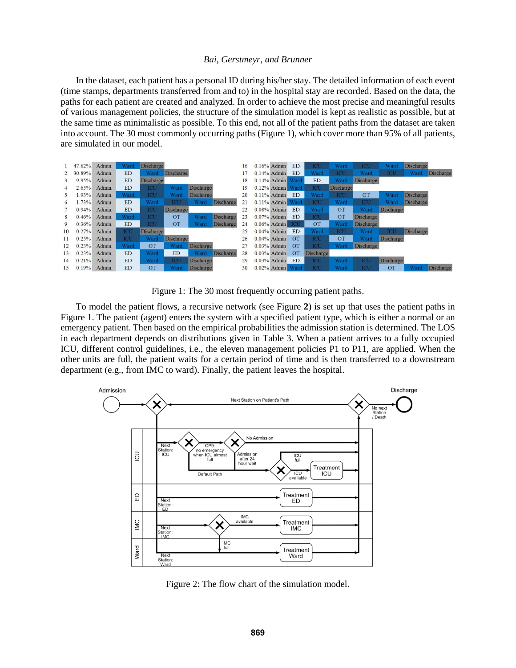In the dataset, each patient has a personal ID during his/her stay. The detailed information of each event (time stamps, departments transferred from and to) in the hospital stay are recorded. Based on the data, the paths for each patient are created and analyzed. In order to achieve the most precise and meaningful results of various management policies, the structure of the simulation model is kept as realistic as possible, but at the same time as minimalistic as possible. To this end, not all of the patient paths from the dataset are taken into account. The 30 most commonly occurring paths [\(Figure 1\)](#page-5-0), which cover more than 95% of all patients, are simulated in our model.

|          | 47.62% | Admin | Ward       | <b>Discharge</b> |                  |                  |                  | 16 | $0.16\%$ Admin   | ED             | ICU              | Ward             | <b>ICU</b>       | Ward             | Discharge        |                  |
|----------|--------|-------|------------|------------------|------------------|------------------|------------------|----|------------------|----------------|------------------|------------------|------------------|------------------|------------------|------------------|
|          | 30.89% | Admin | ED         | Ward             | <b>Discharge</b> |                  |                  |    | $0.14\%$ Admin   | ED             | Ward             | <b>ICU</b>       | Ward             | <b>ICU</b>       | Ward             | Discharge        |
|          | 9.95%  | Admin | <b>ED</b>  | <b>Discharge</b> |                  |                  |                  | 18 | 0.14% Admin Ward |                | ED               | Ward             | Discharge        |                  |                  |                  |
|          | 2.65%  | Admin | <b>ED</b>  | tetu             | Ward             | <b>Discharge</b> |                  | 19 | 0.12% Admin Ward |                | ICU              | <b>Discharge</b> |                  |                  |                  |                  |
|          | 1.93%  | Admin | Ward       | ICU              | Ward             | <b>Discharge</b> |                  | 20 | $0.11\%$ Admin   | ED             | Ward             | <b>ICU</b>       | <b>OT</b>        | Ward             | Discharge        |                  |
| $\sigma$ | 1.73%  | Admin | <b>ED</b>  | Ward             | <b>ICU</b>       | Ward             | Discharge        | 21 | 0.11% Admin Ward |                | ICU              | Ward             | <b>ICU</b>       | Ward             | Discharge        |                  |
|          | 0.94%  | Admin | <b>ED</b>  | ICU              | <b>Discharge</b> |                  |                  | 22 | $0.08\%$ Admin   | <b>ED</b>      | Ward             | <b>OT</b>        | Ward             | <b>Discharge</b> |                  |                  |
|          | 0.46%  | Admin | Ward       | <b>ICU</b>       | <b>OT</b>        | Ward             | <b>Discharge</b> | 23 | $0.07\%$ Admin   | <b>ED</b>      | <b>ICU</b>       | OT               | <b>Discharge</b> |                  |                  |                  |
| 9        | 0.36%  | Admin | <b>ED</b>  | <b>ICU</b>       | <b>OT</b>        | Ward             | Discharge        | 24 | $0.06\%$ Admin   | <b>ICU</b>     | <b>OT</b>        | Ward             | <b>Discharge</b> |                  |                  |                  |
| 10       | 0.27%  | Admin | <b>ICU</b> | <b>Discharge</b> |                  |                  |                  | 25 | $0.04\%$ Admin   | ED             | Ward             | ICU              | Ward             | ICU              | <b>Discharge</b> |                  |
| 11       | 0.25%  | Admin | <b>ICU</b> | Ward             | <b>Discharge</b> |                  |                  | 26 | $0.04\%$ Admin   | $\overline{O}$ | <b>ICU</b>       | OT               | Ward             | <b>Discharge</b> |                  |                  |
| 12       | 0.23%  | Admin | Ward       | <b>OT</b>        | Ward             | <b>Discharge</b> |                  | 27 | $0.03\%$ Admin   | <b>OT</b>      | <b>ICU</b>       | Ward             | Discharge        |                  |                  |                  |
| 13       | 0.23%  | Admin | <b>ED</b>  | Ward             | ED               | Ward             | Discharge        | 28 | $0.03%$ Admin    | <b>OT</b>      | <b>Discharge</b> |                  |                  |                  |                  |                  |
| 14       | 0.21%  | Admin | ED         | Ward             | ICU              | <b>Discharge</b> |                  | 29 | $0.03\%$ Admin   | ED             | ICU              | Ward             | <b>ICU</b>       | <b>Discharge</b> |                  |                  |
| 15       | 0.19%  | Admin | <b>ED</b>  | <b>OT</b>        | Ward             | Discharge        |                  | 30 | 0.02% Admin Ward |                | <b>ICU</b>       | Ward             | <b>ICU</b>       | <b>OT</b>        | Ward             | <b>Discharge</b> |

Figure 1: The 30 most frequently occurring patient paths.

<span id="page-5-0"></span>To model the patient flows, a recursive network (see [Figure](#page-5-1) **2**) is set up that uses the patient paths in [Figure 1.](#page-5-0) The patient (agent) enters the system with a specified patient type, which is either a normal or an emergency patient. Then based on the empirical probabilities the admission station is determined. The LOS in each department depends on distributions given in [Table 3.](#page-4-2) When a patient arrives to a fully occupied ICU, different control guidelines, i.e., the eleven management policies P1 to P11, are applied. When the other units are full, the patient waits for a certain period of time and is then transferred to a downstream department (e.g., from IMC to ward). Finally, the patient leaves the hospital.



<span id="page-5-1"></span>Figure 2: The flow chart of the simulation model.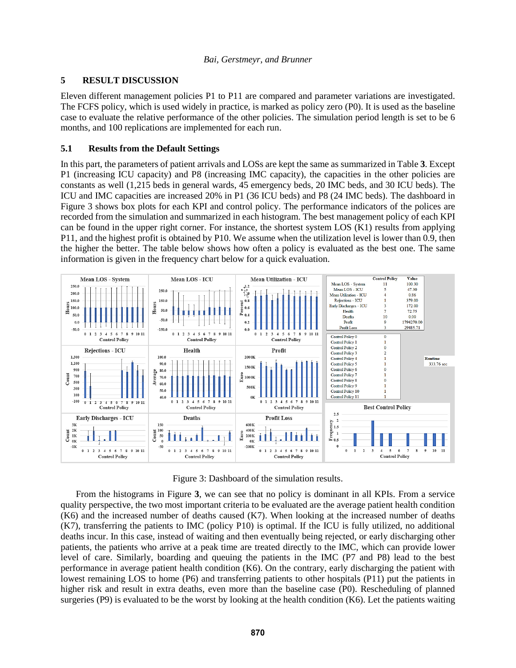## **5 RESULT DISCUSSION**

Eleven different management policies P1 to P11 are compared and parameter variations are investigated. The FCFS policy, which is used widely in practice, is marked as policy zero (P0). It is used as the baseline case to evaluate the relative performance of the other policies. The simulation period length is set to be 6 months, and 100 replications are implemented for each run.

### **5.1 Results from the Default Settings**

In this part, the parameters of patient arrivals and LOSs are kept the same as summarized i[n Table](#page-4-2) **3**. Except P1 (increasing ICU capacity) and P8 (increasing IMC capacity), the capacities in the other policies are constants as well (1,215 beds in general wards, 45 emergency beds, 20 IMC beds, and 30 ICU beds). The ICU and IMC capacities are increased 20% in P1 (36 ICU beds) and P8 (24 IMC beds). The dashboard in [Figure 3](#page-6-0) shows box plots for each KPI and control policy. The performance indicators of the polices are recorded from the simulation and summarized in each histogram. The best management policy of each KPI can be found in the upper right corner. For instance, the shortest system LOS (K1) results from applying P11, and the highest profit is obtained by P10. We assume when the utilization level is lower than 0.9, then the higher the better. The table below shows how often a policy is evaluated as the best one. The same information is given in the frequency chart below for a quick evaluation.



Figure 3: Dashboard of the simulation results.

<span id="page-6-0"></span>From the histograms in [Figure](#page-6-0) **3**, we can see that no policy is dominant in all KPIs. From a service quality perspective, the two most important criteria to be evaluated are the average patient health condition (K6) and the increased number of deaths caused (K7). When looking at the increased number of deaths (K7), transferring the patients to IMC (policy P10) is optimal. If the ICU is fully utilized, no additional deaths incur. In this case, instead of waiting and then eventually being rejected, or early discharging other patients, the patients who arrive at a peak time are treated directly to the IMC, which can provide lower level of care. Similarly, boarding and queuing the patients in the IMC (P7 and P8) lead to the best performance in average patient health condition (K6). On the contrary, early discharging the patient with lowest remaining LOS to home (P6) and transferring patients to other hospitals (P11) put the patients in higher risk and result in extra deaths, even more than the baseline case (P0). Rescheduling of planned surgeries (P9) is evaluated to be the worst by looking at the health condition (K6). Let the patients waiting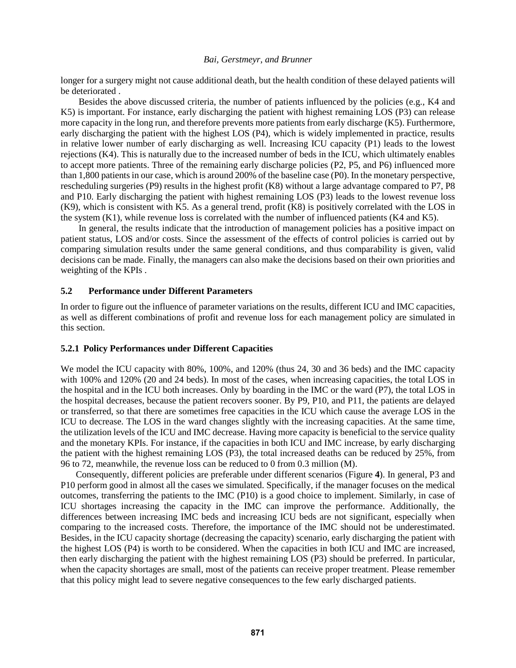longer for a surgery might not cause additional death, but the health condition of these delayed patients will be deteriorated .

Besides the above discussed criteria, the number of patients influenced by the policies (e.g., K4 and K5) is important. For instance, early discharging the patient with highest remaining LOS (P3) can release more capacity in the long run, and therefore prevents more patients from early discharge (K5). Furthermore, early discharging the patient with the highest LOS (P4), which is widely implemented in practice, results in relative lower number of early discharging as well. Increasing ICU capacity (P1) leads to the lowest rejections (K4). This is naturally due to the increased number of beds in the ICU, which ultimately enables to accept more patients. Three of the remaining early discharge policies (P2, P5, and P6) influenced more than 1,800 patients in our case, which is around 200% of the baseline case (P0). In the monetary perspective, rescheduling surgeries (P9) results in the highest profit (K8) without a large advantage compared to P7, P8 and P10. Early discharging the patient with highest remaining LOS (P3) leads to the lowest revenue loss (K9), which is consistent with K5. As a general trend, profit (K8) is positively correlated with the LOS in the system (K1), while revenue loss is correlated with the number of influenced patients (K4 and K5).

In general, the results indicate that the introduction of management policies has a positive impact on patient status, LOS and/or costs. Since the assessment of the effects of control policies is carried out by comparing simulation results under the same general conditions, and thus comparability is given, valid decisions can be made. Finally, the managers can also make the decisions based on their own priorities and weighting of the KPIs .

### **5.2 Performance under Different Parameters**

In order to figure out the influence of parameter variations on the results, different ICU and IMC capacities, as well as different combinations of profit and revenue loss for each management policy are simulated in this section.

## **5.2.1 Policy Performances under Different Capacities**

We model the ICU capacity with 80%, 100%, and 120% (thus 24, 30 and 36 beds) and the IMC capacity with 100% and 120% (20 and 24 beds). In most of the cases, when increasing capacities, the total LOS in the hospital and in the ICU both increases. Only by boarding in the IMC or the ward (P7), the total LOS in the hospital decreases, because the patient recovers sooner. By P9, P10, and P11, the patients are delayed or transferred, so that there are sometimes free capacities in the ICU which cause the average LOS in the ICU to decrease. The LOS in the ward changes slightly with the increasing capacities. At the same time, the utilization levels of the ICU and IMC decrease. Having more capacity is beneficial to the service quality and the monetary KPIs. For instance, if the capacities in both ICU and IMC increase, by early discharging the patient with the highest remaining LOS (P3), the total increased deaths can be reduced by 25%, from 96 to 72, meanwhile, the revenue loss can be reduced to 0 from 0.3 million (M).

Consequently, different policies are preferable under different scenarios [\(Figure](#page-8-0) **4**). In general, P3 and P10 perform good in almost all the cases we simulated. Specifically, if the manager focuses on the medical outcomes, transferring the patients to the IMC (P10) is a good choice to implement. Similarly, in case of ICU shortages increasing the capacity in the IMC can improve the performance. Additionally, the differences between increasing IMC beds and increasing ICU beds are not significant, especially when comparing to the increased costs. Therefore, the importance of the IMC should not be underestimated. Besides, in the ICU capacity shortage (decreasing the capacity) scenario, early discharging the patient with the highest LOS (P4) is worth to be considered. When the capacities in both ICU and IMC are increased, then early discharging the patient with the highest remaining LOS (P3) should be preferred. In particular, when the capacity shortages are small, most of the patients can receive proper treatment. Please remember that this policy might lead to severe negative consequences to the few early discharged patients.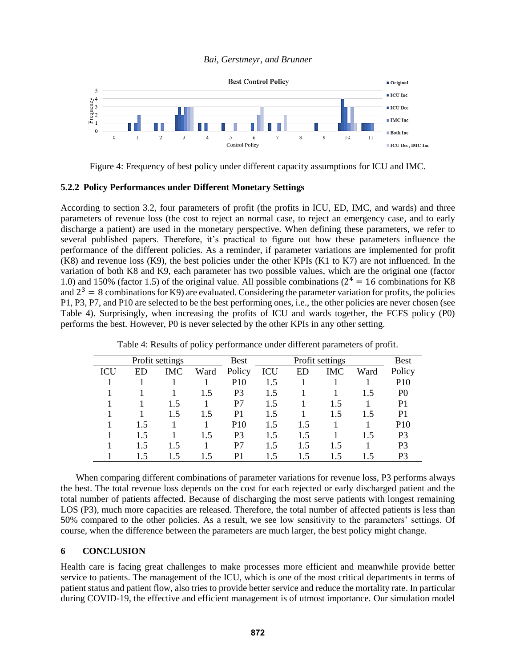

Figure 4: Frequency of best policy under different capacity assumptions for ICU and IMC.

#### <span id="page-8-0"></span>**5.2.2 Policy Performances under Different Monetary Settings**

According to section 3.2, four parameters of profit (the profits in ICU, ED, IMC, and wards) and three parameters of revenue loss (the cost to reject an normal case, to reject an emergency case, and to early discharge a patient) are used in the monetary perspective. When defining these parameters, we refer to several published papers. Therefore, it's practical to figure out how these parameters influence the performance of the different policies. As a reminder, if parameter variations are implemented for profit (K8) and revenue loss (K9), the best policies under the other KPIs (K1 to K7) are not influenced. In the variation of both K8 and K9, each parameter has two possible values, which are the original one (factor 1.0) and 150% (factor 1.5) of the original value. All possible combinations ( $2^4 = 16$  combinations for K8 and  $2^3 = 8$  combinations for K9) are evaluated. Considering the parameter variation for profits, the policies P1, P3, P7, and P10 are selected to be the best performing ones, i.e., the other policies are never chosen (see [Table 4\)](#page-8-1). Surprisingly, when increasing the profits of ICU and wards together, the FCFS policy (P0) performs the best. However, P0 is never selected by the other KPIs in any other setting.

<span id="page-8-1"></span>

|     |     | Profit settings |      | <b>Best</b>     | Profit settings |     |     |      | <b>Best</b>     |
|-----|-----|-----------------|------|-----------------|-----------------|-----|-----|------|-----------------|
| ICU | ED  | IMC             | Ward | Policy          | ICU             | ED  | IMC | Ward | Policy          |
|     |     |                 |      | P <sub>10</sub> | 1.5             |     |     |      | P <sub>10</sub> |
|     |     |                 | 1.5  | P3              | 1.5             |     |     | 1.5  | P <sub>0</sub>  |
|     |     | 1.5             |      | P7              | 1.5             |     | 1.5 |      | P <sub>1</sub>  |
|     |     | 1.5             | 1.5  | P1              | 1.5             |     | 1.5 | 1.5  | P <sub>1</sub>  |
|     | 1.5 |                 |      | P <sub>10</sub> | 1.5             | 1.5 |     |      | <b>P10</b>      |
|     | 1.5 |                 | 1.5  | P3              | 1.5             | 1.5 |     | 1.5  | P <sub>3</sub>  |
|     | 1.5 | 1.5             |      | P7              | 1.5             | 1.5 | 1.5 |      | P <sub>3</sub>  |
|     | 1.5 | 1.5             | 1.5  | P1              | 1.5             | 1.5 | 1.5 | 1.5  | P3              |

Table 4: Results of policy performance under different parameters of profit.

When comparing different combinations of parameter variations for revenue loss, P3 performs always the best. The total revenue loss depends on the cost for each rejected or early discharged patient and the total number of patients affected. Because of discharging the most serve patients with longest remaining LOS (P3), much more capacities are released. Therefore, the total number of affected patients is less than 50% compared to the other policies. As a result, we see low sensitivity to the parameters' settings. Of course, when the difference between the parameters are much larger, the best policy might change.

### **6 CONCLUSION**

Health care is facing great challenges to make processes more efficient and meanwhile provide better service to patients. The management of the ICU, which is one of the most critical departments in terms of patient status and patient flow, also tries to provide better service and reduce the mortality rate. In particular during COVID-19, the effective and efficient management is of utmost importance. Our simulation model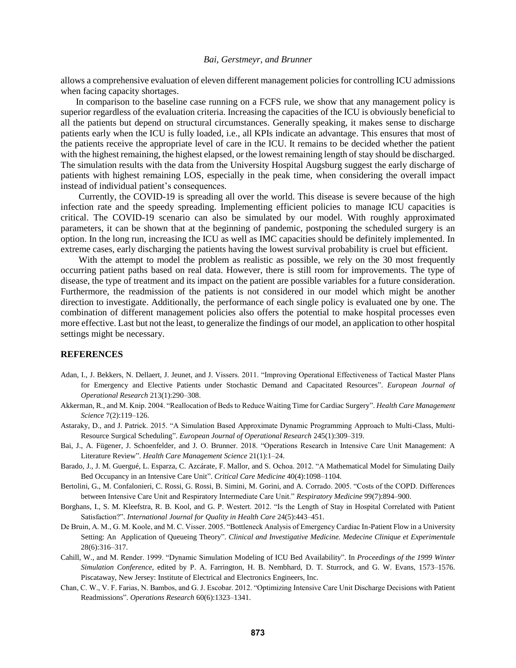allows a comprehensive evaluation of eleven different management policies for controlling ICU admissions when facing capacity shortages.

In comparison to the baseline case running on a FCFS rule, we show that any management policy is superior regardless of the evaluation criteria. Increasing the capacities of the ICU is obviously beneficial to all the patients but depend on structural circumstances. Generally speaking, it makes sense to discharge patients early when the ICU is fully loaded, i.e., all KPIs indicate an advantage. This ensures that most of the patients receive the appropriate level of care in the ICU. It remains to be decided whether the patient with the highest remaining, the highest elapsed, or the lowest remaining length of stay should be discharged. The simulation results with the data from the University Hospital Augsburg suggest the early discharge of patients with highest remaining LOS, especially in the peak time, when considering the overall impact instead of individual patient's consequences.

Currently, the COVID-19 is spreading all over the world. This disease is severe because of the high infection rate and the speedy spreading. Implementing efficient policies to manage ICU capacities is critical. The COVID-19 scenario can also be simulated by our model. With roughly approximated parameters, it can be shown that at the beginning of pandemic, postponing the scheduled surgery is an option. In the long run, increasing the ICU as well as IMC capacities should be definitely implemented. In extreme cases, early discharging the patients having the lowest survival probability is cruel but efficient.

With the attempt to model the problem as realistic as possible, we rely on the 30 most frequently occurring patient paths based on real data. However, there is still room for improvements. The type of disease, the type of treatment and its impact on the patient are possible variables for a future consideration. Furthermore, the readmission of the patients is not considered in our model which might be another direction to investigate. Additionally, the performance of each single policy is evaluated one by one. The combination of different management policies also offers the potential to make hospital processes even more effective. Last but not the least, to generalize the findings of our model, an application to other hospital settings might be necessary.

### **REFERENCES**

- Adan, I., J. Bekkers, N. Dellaert, J. Jeunet, and J. Vissers. 2011. "Improving Operational Effectiveness of Tactical Master Plans for Emergency and Elective Patients under Stochastic Demand and Capacitated Resources". *European Journal of Operational Research* 213(1):290–308.
- Akkerman, R., and M. Knip. 2004. "Reallocation of Beds to Reduce Waiting Time for Cardiac Surgery". *Health Care Management Science* 7(2):119–126.
- Astaraky, D., and J. Patrick. 2015. "A Simulation Based Approximate Dynamic Programming Approach to Multi-Class, Multi-Resource Surgical Scheduling". *European Journal of Operational Research* 245(1):309–319.
- Bai, J., A. Fügener, J. Schoenfelder, and J. O. Brunner. 2018. "Operations Research in Intensive Care Unit Management: A Literature Review". *Health Care Management Science* 21(1):1–24.
- Barado, J., J. M. Guergué, L. Esparza, C. Azcárate, F. Mallor, and S. Ochoa. 2012. "A Mathematical Model for Simulating Daily Bed Occupancy in an Intensive Care Unit". *Critical Care Medicine* 40(4):1098–1104.
- Bertolini, G., M. Confalonieri, C. Rossi, G. Rossi, B. Simini, M. Gorini, and A. Corrado. 2005. "Costs of the COPD. Differences between Intensive Care Unit and Respiratory Intermediate Care Unit." *Respiratory Medicine* 99(7):894–900.
- Borghans, I., S. M. Kleefstra, R. B. Kool, and G. P. Westert. 2012. "Is the Length of Stay in Hospital Correlated with Patient Satisfaction?". *International Journal for Quality in Health Care* 24(5):443–451.
- De Bruin, A. M., G. M. Koole, and M. C. Visser. 2005. "Bottleneck Analysis of Emergency Cardiac In-Patient Flow in a University Setting: An Application of Queueing Theory". *Clinical and Investigative Medicine. Medecine Clinique et Experimentale* 28(6):316–317.
- Cahill, W., and M. Render. 1999. "Dynamic Simulation Modeling of ICU Bed Availability". In *Proceedings of the 1999 Winter Simulation Conference*, edited by P. A. Farrington, H. B. Nembhard, D. T. Sturrock, and G. W. Evans, 1573–1576. Piscataway, New Jersey: Institute of Electrical and Electronics Engineers, Inc.
- Chan, C. W., V. F. Farias, N. Bambos, and G. J. Escobar. 2012. "Optimizing Intensive Care Unit Discharge Decisions with Patient Readmissions". *Operations Research* 60(6):1323–1341.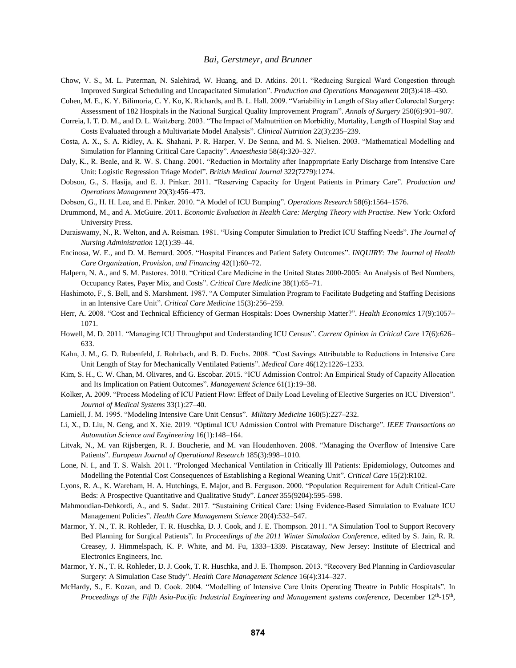- Chow, V. S., M. L. Puterman, N. Salehirad, W. Huang, and D. Atkins. 2011. "Reducing Surgical Ward Congestion through Improved Surgical Scheduling and Uncapacitated Simulation". *Production and Operations Management* 20(3):418–430.
- Cohen, M. E., K. Y. Bilimoria, C. Y. Ko, K. Richards, and B. L. Hall. 2009. "Variability in Length of Stay after Colorectal Surgery: Assessment of 182 Hospitals in the National Surgical Quality Improvement Program". *Annals of Surgery* 250(6):901–907.
- Correia, I. T. D. M., and D. L. Waitzberg. 2003. "The Impact of Malnutrition on Morbidity, Mortality, Length of Hospital Stay and Costs Evaluated through a Multivariate Model Analysis". *Clinical Nutrition* 22(3):235–239.
- Costa, A. X., S. A. Ridley, A. K. Shahani, P. R. Harper, V. De Senna, and M. S. Nielsen. 2003. "Mathematical Modelling and Simulation for Planning Critical Care Capacity". *Anaesthesia* 58(4):320–327.
- Daly, K., R. Beale, and R. W. S. Chang. 2001. "Reduction in Mortality after Inappropriate Early Discharge from Intensive Care Unit: Logistic Regression Triage Model". *British Medical Journal* 322(7279):1274.
- Dobson, G., S. Hasija, and E. J. Pinker. 2011. "Reserving Capacity for Urgent Patients in Primary Care". *Production and Operations Management* 20(3):456–473.
- Dobson, G., H. H. Lee, and E. Pinker. 2010. "A Model of ICU Bumping". *Operations Research* 58(6):1564–1576.
- Drummond, M., and A. McGuire. 2011. *Economic Evaluation in Health Care: Merging Theory with Practise.* New York: Oxford University Press.
- Duraiswamy, N., R. Welton, and A. Reisman. 1981. "Using Computer Simulation to Predict ICU Staffing Needs". *The Journal of Nursing Administration* 12(1):39–44.
- Encinosa, W. E., and D. M. Bernard. 2005. "Hospital Finances and Patient Safety Outcomes". *INQUIRY: The Journal of Health Care Organization, Provision, and Financing* 42(1):60–72.
- Halpern, N. A., and S. M. Pastores. 2010. "Critical Care Medicine in the United States 2000-2005: An Analysis of Bed Numbers, Occupancy Rates, Payer Mix, and Costs". *Critical Care Medicine* 38(1):65–71.
- Hashimoto, F., S. Bell, and S. Marshment. 1987. "A Computer Simulation Program to Facilitate Budgeting and Staffing Decisions in an Intensive Care Unit". *Critical Care Medicine* 15(3):256–259.
- Herr, A. 2008. "Cost and Technical Efficiency of German Hospitals: Does Ownership Matter?". *Health Economics* 17(9):1057– 1071.
- Howell, M. D. 2011. "Managing ICU Throughput and Understanding ICU Census". *Current Opinion in Critical Care* 17(6):626– 633.
- Kahn, J. M., G. D. Rubenfeld, J. Rohrbach, and B. D. Fuchs. 2008. "Cost Savings Attributable to Reductions in Intensive Care Unit Length of Stay for Mechanically Ventilated Patients". *Medical Care* 46(12):1226–1233.
- Kim, S. H., C. W. Chan, M. Olivares, and G. Escobar. 2015. "ICU Admission Control: An Empirical Study of Capacity Allocation and Its Implication on Patient Outcomes". *Management Science* 61(1):19–38.
- Kolker, A. 2009. "Process Modeling of ICU Patient Flow: Effect of Daily Load Leveling of Elective Surgeries on ICU Diversion". *Journal of Medical Systems* 33(1):27–40.
- Lamiell, J. M. 1995. "Modeling Intensive Care Unit Census". *Military Medicine* 160(5):227–232.
- Li, X., D. Liu, N. Geng, and X. Xie. 2019. "Optimal ICU Admission Control with Premature Discharge". *IEEE Transactions on Automation Science and Engineering* 16(1):148–164.
- Litvak, N., M. van Rijsbergen, R. J. Boucherie, and M. van Houdenhoven. 2008. "Managing the Overflow of Intensive Care Patients". *European Journal of Operational Research* 185(3):998–1010.
- Lone, N. I., and T. S. Walsh. 2011. "Prolonged Mechanical Ventilation in Critically Ill Patients: Epidemiology, Outcomes and Modelling the Potential Cost Consequences of Establishing a Regional Weaning Unit". *Critical Care* 15(2):R102.
- Lyons, R. A., K. Wareham, H. A. Hutchings, E. Major, and B. Ferguson. 2000. "Population Requirement for Adult Critical-Care Beds: A Prospective Quantitative and Qualitative Study". *Lancet* 355(9204):595–598.
- Mahmoudian-Dehkordi, A., and S. Sadat. 2017. "Sustaining Critical Care: Using Evidence-Based Simulation to Evaluate ICU Management Policies". *Health Care Management Science* 20(4):532–547.
- Marmor, Y. N., T. R. Rohleder, T. R. Huschka, D. J. Cook, and J. E. Thompson. 2011. "A Simulation Tool to Support Recovery Bed Planning for Surgical Patients". In *Proceedings of the 2011 Winter Simulation Conference*, edited by S. Jain, R. R. Creasey, J. Himmelspach, K. P. White, and M. Fu, 1333–1339. Piscataway, New Jersey: Institute of Electrical and Electronics Engineers, Inc.
- Marmor, Y. N., T. R. Rohleder, D. J. Cook, T. R. Huschka, and J. E. Thompson. 2013. "Recovery Bed Planning in Cardiovascular Surgery: A Simulation Case Study". *Health Care Management Science* 16(4):314–327.
- McHardy, S., E. Kozan, and D. Cook. 2004. "Modelling of Intensive Care Units Operating Theatre in Public Hospitals". In Proceedings of the Fifth Asia-Pacific Industrial Engineering and Management systems conference, December 12<sup>th</sup>-15<sup>th</sup>,